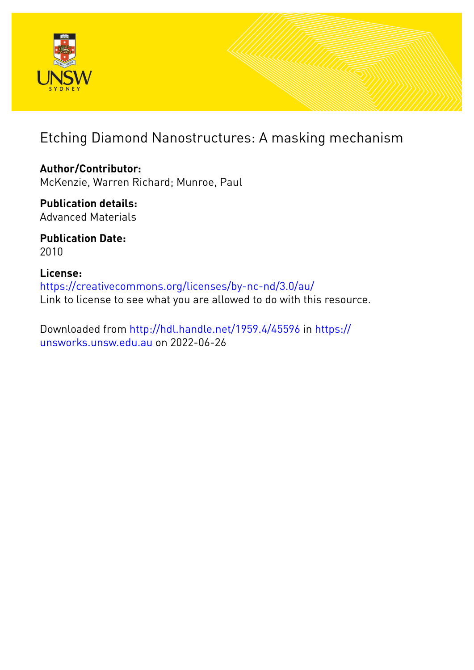

## Etching Diamond Nanostructures: A masking mechanism

**Author/Contributor:** McKenzie, Warren Richard; Munroe, Paul

**Publication details:** Advanced Materials

**Publication Date:** 2010

**License:** <https://creativecommons.org/licenses/by-nc-nd/3.0/au/> Link to license to see what you are allowed to do with this resource.

Downloaded from <http://hdl.handle.net/1959.4/45596> in [https://](https://unsworks.unsw.edu.au) [unsworks.unsw.edu.au](https://unsworks.unsw.edu.au) on 2022-06-26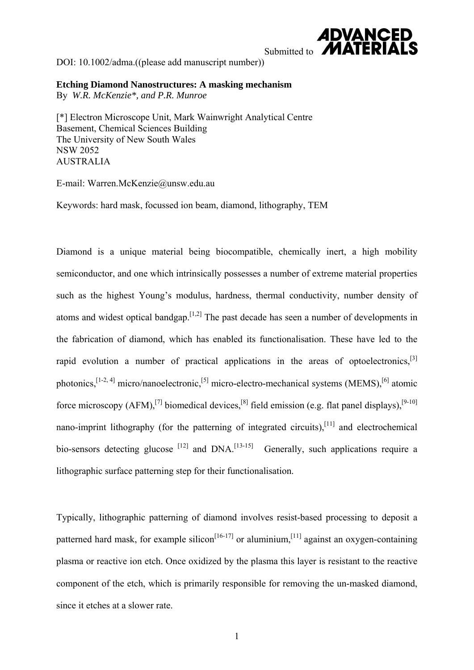

DOI: 10.1002/adma.((please add manuscript number))

**Etching Diamond Nanostructures: A masking mechanism** By *W.R. McKenzie\*, and P.R. Munroe*

[\*] Electron Microscope Unit, Mark Wainwright Analytical Centre Basement, Chemical Sciences Building The University of New South Wales NSW 2052 AUSTRALIA

E-mail: Warren.McKenzie@unsw.edu.au

Keywords: hard mask, focussed ion beam, diamond, lithography, TEM

Diamond is a unique material being biocompatible, chemically inert, a high mobility semiconductor, and one which intrinsically possesses a number of extreme material properties such as the highest Young's modulus, hardness, thermal conductivity, number density of atoms and widest optical bandgap.<sup>[1,2]</sup> The past decade has seen a number of developments in the fabrication of diamond, which has enabled its functionalisation. These have led to the rapid evolution a number of practical applications in the areas of optoelectronics.<sup>[3]</sup> photonics,  $[1-2, 4]$  micro/nanoelectronic,  $[5]$  micro-electro-mechanical systems (MEMS),  $[6]$  atomic force microscopy (AFM),<sup>[7]</sup> biomedical devices,<sup>[8]</sup> field emission (e.g. flat panel displays),<sup>[9-10]</sup> nano-imprint lithography (for the patterning of integrated circuits),<sup>[11]</sup> and electrochemical bio-sensors detecting glucose  $[12]$  and DNA.<sup>[13-15]</sup> Generally, such applications require a lithographic surface patterning step for their functionalisation.

Typically, lithographic patterning of diamond involves resist-based processing to deposit a patterned hard mask, for example silicon<sup>[16-17]</sup> or aluminium,<sup>[11]</sup> against an oxygen-containing plasma or reactive ion etch. Once oxidized by the plasma this layer is resistant to the reactive component of the etch, which is primarily responsible for removing the un-masked diamond, since it etches at a slower rate.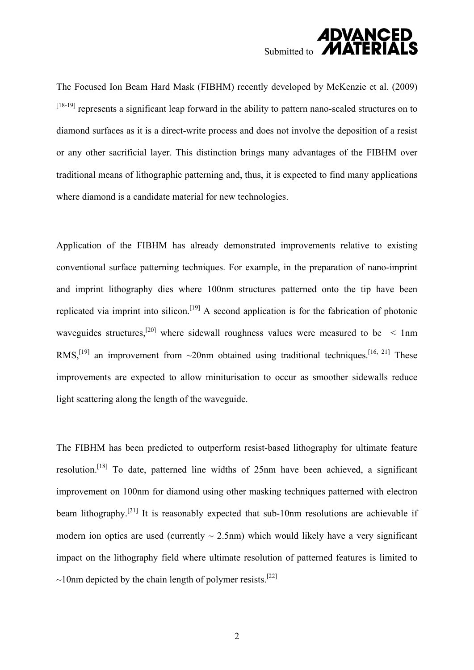

The Focused Ion Beam Hard Mask (FIBHM) recently developed by McKenzie et al. (2009) [18-19] represents a significant leap forward in the ability to pattern nano-scaled structures on to diamond surfaces as it is a direct-write process and does not involve the deposition of a resist or any other sacrificial layer. This distinction brings many advantages of the FIBHM over traditional means of lithographic patterning and, thus, it is expected to find many applications where diamond is a candidate material for new technologies.

Application of the FIBHM has already demonstrated improvements relative to existing conventional surface patterning techniques. For example, in the preparation of nano-imprint and imprint lithography dies where 100nm structures patterned onto the tip have been replicated via imprint into silicon.<sup>[19]</sup> A second application is for the fabrication of photonic waveguides structures,<sup>[20]</sup> where sidewall roughness values were measured to be  $\leq 1$ nm RMS,<sup>[19]</sup> an improvement from  $\sim$ 20nm obtained using traditional techniques.<sup>[16, 21]</sup> These improvements are expected to allow miniturisation to occur as smoother sidewalls reduce light scattering along the length of the waveguide.

The FIBHM has been predicted to outperform resist-based lithography for ultimate feature resolution.[18] To date, patterned line widths of 25nm have been achieved, a significant improvement on 100nm for diamond using other masking techniques patterned with electron beam lithography.<sup>[21]</sup> It is reasonably expected that sub-10nm resolutions are achievable if modern ion optics are used (currently  $\sim$  2.5nm) which would likely have a very significant impact on the lithography field where ultimate resolution of patterned features is limited to  $\sim$ 10nm depicted by the chain length of polymer resists.<sup>[22]</sup>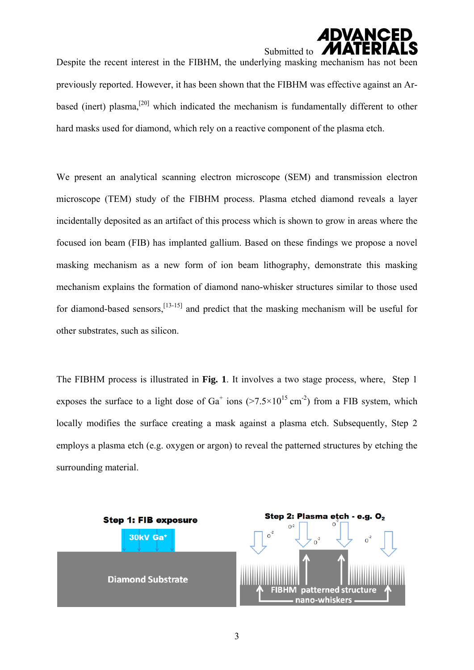# Submitted to  $\blacksquare$

Despite the recent interest in the FIBHM, the underlying masking mechanism has not been previously reported. However, it has been shown that the FIBHM was effective against an Arbased (inert) plasma,<sup>[20]</sup> which indicated the mechanism is fundamentally different to other hard masks used for diamond, which rely on a reactive component of the plasma etch.

We present an analytical scanning electron microscope (SEM) and transmission electron microscope (TEM) study of the FIBHM process. Plasma etched diamond reveals a layer incidentally deposited as an artifact of this process which is shown to grow in areas where the focused ion beam (FIB) has implanted gallium. Based on these findings we propose a novel masking mechanism as a new form of ion beam lithography, demonstrate this masking mechanism explains the formation of diamond nano-whisker structures similar to those used for diamond-based sensors,  $^{[13-15]}$  and predict that the masking mechanism will be useful for other substrates, such as silicon.

The FIBHM process is illustrated in **Fig. 1**. It involves a two stage process, where, Step 1 exposes the surface to a light dose of  $Ga^+$  ions ( $>7.5\times10^{15}$  cm<sup>-2</sup>) from a FIB system, which locally modifies the surface creating a mask against a plasma etch. Subsequently, Step 2 employs a plasma etch (e.g. oxygen or argon) to reveal the patterned structures by etching the surrounding material.

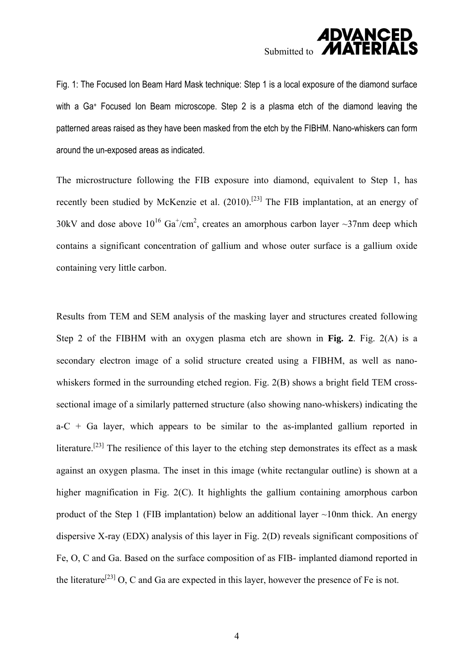## **ADVANCED** Submitted to **MA**

Fig. 1: The Focused Ion Beam Hard Mask technique: Step 1 is a local exposure of the diamond surface with a Ga<sup>+</sup> Focused Ion Beam microscope. Step 2 is a plasma etch of the diamond leaving the patterned areas raised as they have been masked from the etch by the FIBHM. Nano-whiskers can form around the un-exposed areas as indicated.

The microstructure following the FIB exposure into diamond, equivalent to Step 1, has recently been studied by McKenzie et al. (2010).[23] The FIB implantation, at an energy of 30kV and dose above  $10^{16}$  Ga<sup>+</sup>/cm<sup>2</sup>, creates an amorphous carbon layer ~37nm deep which contains a significant concentration of gallium and whose outer surface is a gallium oxide containing very little carbon.

Results from TEM and SEM analysis of the masking layer and structures created following Step 2 of the FIBHM with an oxygen plasma etch are shown in **Fig. 2**. Fig. 2(A) is a secondary electron image of a solid structure created using a FIBHM, as well as nanowhiskers formed in the surrounding etched region. Fig. 2(B) shows a bright field TEM crosssectional image of a similarly patterned structure (also showing nano-whiskers) indicating the  $a-C + Ga$  layer, which appears to be similar to the as-implanted gallium reported in literature.<sup>[23]</sup> The resilience of this layer to the etching step demonstrates its effect as a mask against an oxygen plasma. The inset in this image (white rectangular outline) is shown at a higher magnification in Fig. 2(C). It highlights the gallium containing amorphous carbon product of the Step 1 (FIB implantation) below an additional layer ~10nm thick. An energy dispersive X-ray (EDX) analysis of this layer in Fig. 2(D) reveals significant compositions of Fe, O, C and Ga. Based on the surface composition of as FIB- implanted diamond reported in the literature<sup>[23]</sup> O, C and Ga are expected in this layer, however the presence of Fe is not.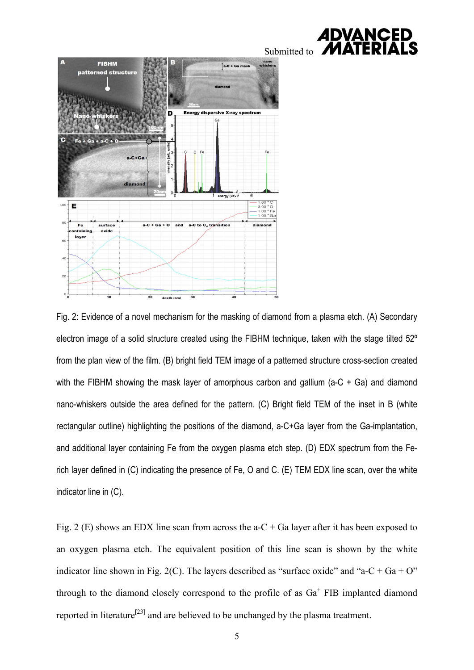



Fig. 2: Evidence of a novel mechanism for the masking of diamond from a plasma etch. (A) Secondary electron image of a solid structure created using the FIBHM technique, taken with the stage tilted 52º from the plan view of the film. (B) bright field TEM image of a patterned structure cross-section created with the FIBHM showing the mask layer of amorphous carbon and gallium (a-C + Ga) and diamond nano-whiskers outside the area defined for the pattern. (C) Bright field TEM of the inset in B (white rectangular outline) highlighting the positions of the diamond, a-C+Ga layer from the Ga-implantation, and additional layer containing Fe from the oxygen plasma etch step. (D) EDX spectrum from the Ferich layer defined in (C) indicating the presence of Fe, O and C. (E) TEM EDX line scan, over the white indicator line in (C).

Fig. 2 (E) shows an EDX line scan from across the  $a-C+Ga$  layer after it has been exposed to an oxygen plasma etch. The equivalent position of this line scan is shown by the white indicator line shown in Fig. 2(C). The layers described as "surface oxide" and "a-C + Ga + O" through to the diamond closely correspond to the profile of as  $Ga<sup>+</sup>$  FIB implanted diamond reported in literature<sup>[23]</sup> and are believed to be unchanged by the plasma treatment.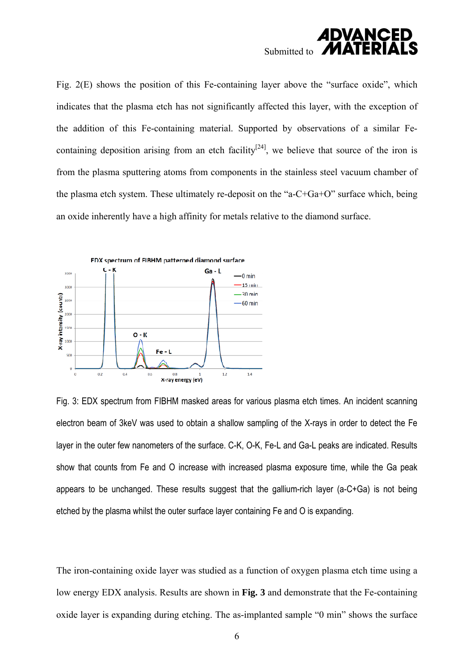

Fig. 2(E) shows the position of this Fe-containing layer above the "surface oxide", which indicates that the plasma etch has not significantly affected this layer, with the exception of the addition of this Fe-containing material. Supported by observations of a similar Fecontaining deposition arising from an etch facility<sup>[24]</sup>, we believe that source of the iron is from the plasma sputtering atoms from components in the stainless steel vacuum chamber of the plasma etch system. These ultimately re-deposit on the "a-C+Ga+O" surface which, being an oxide inherently have a high affinity for metals relative to the diamond surface.



Fig. 3: EDX spectrum from FIBHM masked areas for various plasma etch times. An incident scanning electron beam of 3keV was used to obtain a shallow sampling of the X-rays in order to detect the Fe layer in the outer few nanometers of the surface. C-K, O-K, Fe-L and Ga-L peaks are indicated. Results show that counts from Fe and O increase with increased plasma exposure time, while the Ga peak appears to be unchanged. These results suggest that the gallium-rich layer (a-C+Ga) is not being etched by the plasma whilst the outer surface layer containing Fe and O is expanding.

The iron-containing oxide layer was studied as a function of oxygen plasma etch time using a low energy EDX analysis. Results are shown in **Fig. 3** and demonstrate that the Fe-containing oxide layer is expanding during etching. The as-implanted sample "0 min" shows the surface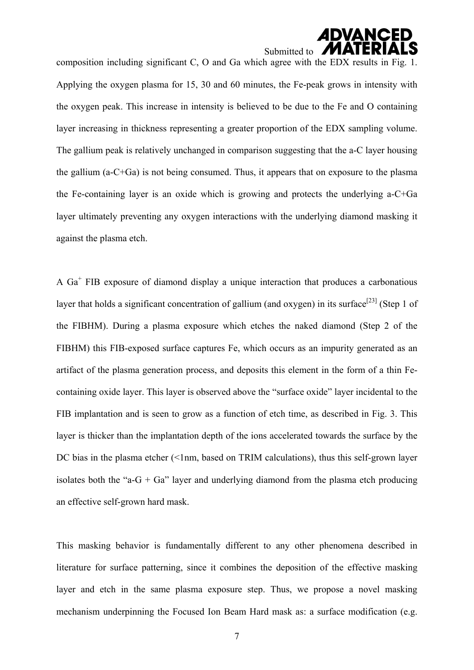## **ADVANCED** Submitted to **M**

composition including significant C, O and Ga which agree with the EDX results in Fig. 1. Applying the oxygen plasma for 15, 30 and 60 minutes, the Fe-peak grows in intensity with the oxygen peak. This increase in intensity is believed to be due to the Fe and O containing layer increasing in thickness representing a greater proportion of the EDX sampling volume. The gallium peak is relatively unchanged in comparison suggesting that the a-C layer housing the gallium (a-C+Ga) is not being consumed. Thus, it appears that on exposure to the plasma the Fe-containing layer is an oxide which is growing and protects the underlying a-C+Ga layer ultimately preventing any oxygen interactions with the underlying diamond masking it against the plasma etch.

A  $Ga<sup>+</sup>$  FIB exposure of diamond display a unique interaction that produces a carbonatious layer that holds a significant concentration of gallium (and oxygen) in its surface<sup>[23]</sup> (Step 1 of the FIBHM). During a plasma exposure which etches the naked diamond (Step 2 of the FIBHM) this FIB-exposed surface captures Fe, which occurs as an impurity generated as an artifact of the plasma generation process, and deposits this element in the form of a thin Fecontaining oxide layer. This layer is observed above the "surface oxide" layer incidental to the FIB implantation and is seen to grow as a function of etch time, as described in Fig. 3. This layer is thicker than the implantation depth of the ions accelerated towards the surface by the DC bias in the plasma etcher  $\leq 1$ nm, based on TRIM calculations), thus this self-grown layer isolates both the "a-G + Ga" layer and underlying diamond from the plasma etch producing an effective self-grown hard mask.

This masking behavior is fundamentally different to any other phenomena described in literature for surface patterning, since it combines the deposition of the effective masking layer and etch in the same plasma exposure step. Thus, we propose a novel masking mechanism underpinning the Focused Ion Beam Hard mask as: a surface modification (e.g.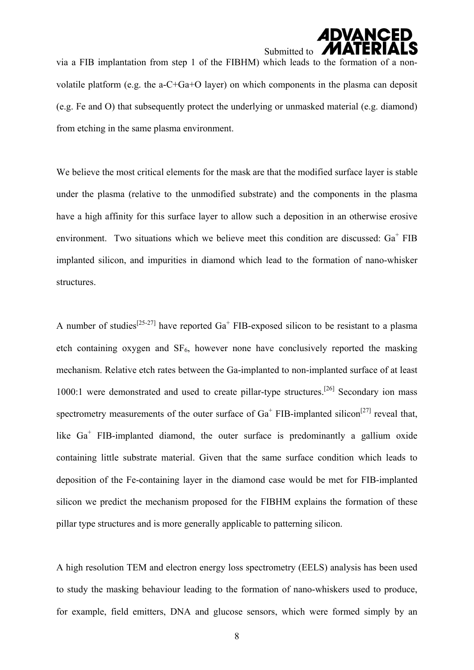## **ADVANCE** Submitted to **P**

via a FIB implantation from step 1 of the FIBHM) which leads to the formation of a nonvolatile platform (e.g. the a-C+Ga+O layer) on which components in the plasma can deposit (e.g. Fe and O) that subsequently protect the underlying or unmasked material (e.g. diamond) from etching in the same plasma environment.

We believe the most critical elements for the mask are that the modified surface layer is stable under the plasma (relative to the unmodified substrate) and the components in the plasma have a high affinity for this surface layer to allow such a deposition in an otherwise erosive environment. Two situations which we believe meet this condition are discussed:  $Ga<sup>+</sup> FIB$ implanted silicon, and impurities in diamond which lead to the formation of nano-whisker structures.

A number of studies<sup>[25-27]</sup> have reported  $Ga<sup>+</sup> FIB$ -exposed silicon to be resistant to a plasma etch containing oxygen and  $SF_6$ , however none have conclusively reported the masking mechanism. Relative etch rates between the Ga-implanted to non-implanted surface of at least 1000:1 were demonstrated and used to create pillar-type structures.<sup>[26]</sup> Secondary ion mass spectrometry measurements of the outer surface of  $Ga<sup>+</sup> FIB-*implanted* silicon<sup>[27]</sup> reveal that,$ like Ga<sup>+</sup> FIB-implanted diamond, the outer surface is predominantly a gallium oxide containing little substrate material. Given that the same surface condition which leads to deposition of the Fe-containing layer in the diamond case would be met for FIB-implanted silicon we predict the mechanism proposed for the FIBHM explains the formation of these pillar type structures and is more generally applicable to patterning silicon.

A high resolution TEM and electron energy loss spectrometry (EELS) analysis has been used to study the masking behaviour leading to the formation of nano-whiskers used to produce, for example, field emitters, DNA and glucose sensors, which were formed simply by an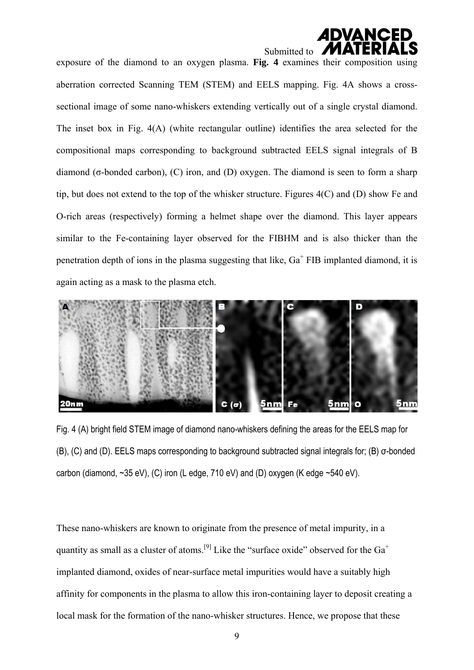

exposure of the diamond to an oxygen plasma. **Fig. 4** examines their composition using aberration corrected Scanning TEM (STEM) and EELS mapping. Fig. 4A shows a crosssectional image of some nano-whiskers extending vertically out of a single crystal diamond. The inset box in Fig. 4(A) (white rectangular outline) identifies the area selected for the compositional maps corresponding to background subtracted EELS signal integrals of B diamond (σ-bonded carbon), (C) iron, and (D) oxygen. The diamond is seen to form a sharp tip, but does not extend to the top of the whisker structure. Figures 4(C) and (D) show Fe and O-rich areas (respectively) forming a helmet shape over the diamond. This layer appears similar to the Fe-containing layer observed for the FIBHM and is also thicker than the penetration depth of ions in the plasma suggesting that like,  $Ga<sup>+</sup> FIB$  implanted diamond, it is again acting as a mask to the plasma etch.



Fig. 4 (A) bright field STEM image of diamond nano-whiskers defining the areas for the EELS map for (B), (C) and (D). EELS maps corresponding to background subtracted signal integrals for; (B) σ-bonded carbon (diamond,  $\sim$ 35 eV), (C) iron (L edge, 710 eV) and (D) oxygen (K edge  $\sim$  540 eV).

These nano-whiskers are known to originate from the presence of metal impurity, in a quantity as small as a cluster of atoms.<sup>[9]</sup> Like the "surface oxide" observed for the  $Ga<sup>+</sup>$ implanted diamond, oxides of near-surface metal impurities would have a suitably high affinity for components in the plasma to allow this iron-containing layer to deposit creating a local mask for the formation of the nano-whisker structures. Hence, we propose that these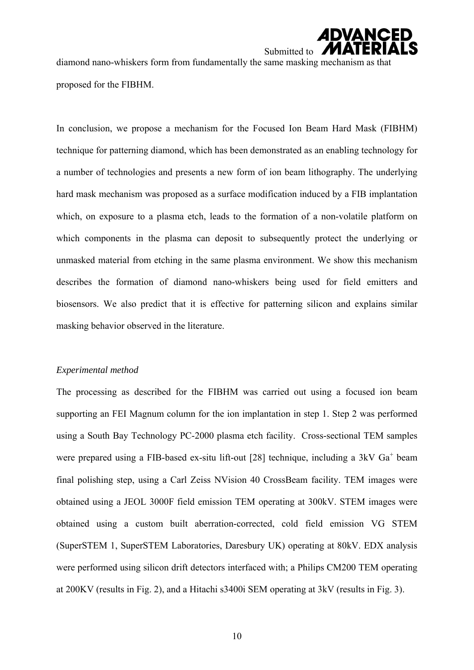

diamond nano-whiskers form from fundamentally the same masking mechanism as that proposed for the FIBHM.

In conclusion, we propose a mechanism for the Focused Ion Beam Hard Mask (FIBHM) technique for patterning diamond, which has been demonstrated as an enabling technology for a number of technologies and presents a new form of ion beam lithography. The underlying hard mask mechanism was proposed as a surface modification induced by a FIB implantation which, on exposure to a plasma etch, leads to the formation of a non-volatile platform on which components in the plasma can deposit to subsequently protect the underlying or unmasked material from etching in the same plasma environment. We show this mechanism describes the formation of diamond nano-whiskers being used for field emitters and biosensors. We also predict that it is effective for patterning silicon and explains similar masking behavior observed in the literature.

#### *Experimental method*

The processing as described for the FIBHM was carried out using a focused ion beam supporting an FEI Magnum column for the ion implantation in step 1. Step 2 was performed using a South Bay Technology PC-2000 plasma etch facility. Cross-sectional TEM samples were prepared using a FIB-based ex-situ lift-out [28] technique, including a  $3kV$   $Ga<sup>+</sup>$  beam final polishing step, using a Carl Zeiss NVision 40 CrossBeam facility. TEM images were obtained using a JEOL 3000F field emission TEM operating at 300kV. STEM images were obtained using a custom built aberration-corrected, cold field emission VG STEM (SuperSTEM 1, SuperSTEM Laboratories, Daresbury UK) operating at 80kV. EDX analysis were performed using silicon drift detectors interfaced with; a Philips CM200 TEM operating at 200KV (results in Fig. 2), and a Hitachi s3400i SEM operating at 3kV (results in Fig. 3).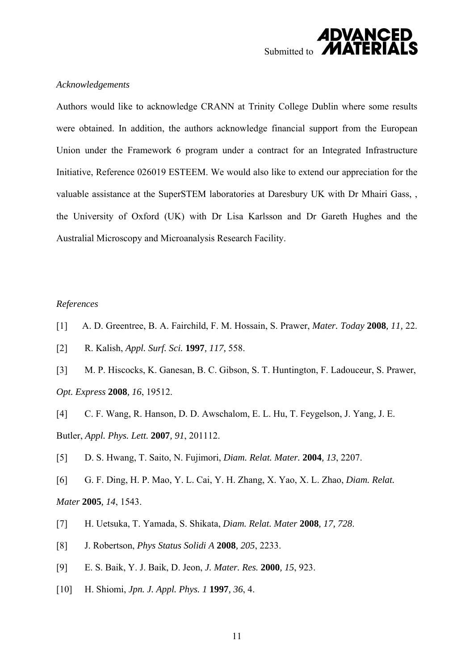

#### *Acknowledgements*

Authors would like to acknowledge CRANN at Trinity College Dublin where some results were obtained. In addition, the authors acknowledge financial support from the European Union under the Framework 6 program under a contract for an Integrated Infrastructure Initiative, Reference 026019 ESTEEM. We would also like to extend our appreciation for the valuable assistance at the SuperSTEM laboratories at Daresbury UK with Dr Mhairi Gass, , the University of Oxford (UK) with Dr Lisa Karlsson and Dr Gareth Hughes and the Australial Microscopy and Microanalysis Research Facility.

#### *References*

- [1] A. D. Greentree, B. A. Fairchild, F. M. Hossain, S. Prawer, *Mater. Today* **2008***, 11,* 22.
- [2] R. Kalish, *Appl. Surf. Sci.* **1997***, 117,* 558.
- [3] M. P. Hiscocks, K. Ganesan, B. C. Gibson, S. T. Huntington, F. Ladouceur, S. Prawer, *Opt. Express* **2008***, 16*, 19512.
- [4] C. F. Wang, R. Hanson, D. D. Awschalom, E. L. Hu, T. Feygelson, J. Yang, J. E. Butler, *Appl. Phys. Lett.* **2007***, 91*, 201112.
- [5] D. S. Hwang, T. Saito, N. Fujimori, *Diam. Relat. Mater.* **2004***, 13*, 2207.
- [6] G. F. Ding, H. P. Mao, Y. L. Cai, Y. H. Zhang, X. Yao, X. L. Zhao, *Diam. Relat. Mater* **2005***, 14*, 1543.
- [7] H. Uetsuka, T. Yamada, S. Shikata, *Diam. Relat. Mater* **2008***, 17, 728*.
- [8] J. Robertson, *Phys Status Solidi A* **2008***, 205*, 2233.
- [9] E. S. Baik, Y. J. Baik, D. Jeon, *J. Mater. Res.* **2000***, 15*, 923.
- [10] H. Shiomi, *Jpn. J. Appl. Phys. 1* **1997***, 36*, 4.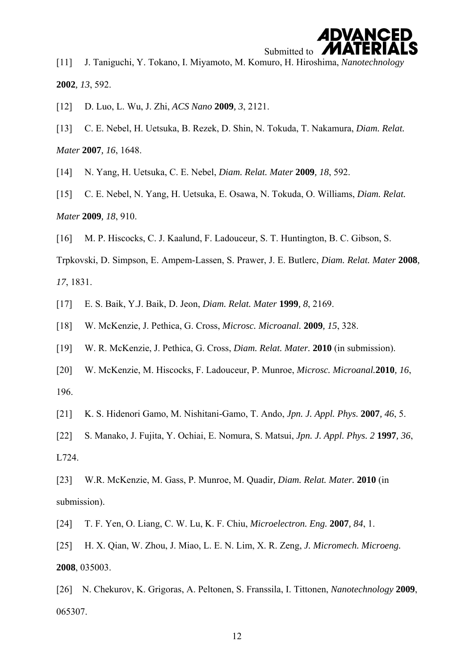## **ADVANCED** Submitted to

[11] J. Taniguchi, Y. Tokano, I. Miyamoto, M. Komuro, H. Hiroshima, *Nanotechnology*  **2002***, 13*, 592.

- [12] D. Luo, L. Wu, J. Zhi, *ACS Nano* **2009***, 3*, 2121.
- [13] C. E. Nebel, H. Uetsuka, B. Rezek, D. Shin, N. Tokuda, T. Nakamura, *Diam. Relat. Mater* **2007***, 16*, 1648.
- [14] N. Yang, H. Uetsuka, C. E. Nebel, *Diam. Relat. Mater* **2009***, 18*, 592.
- [15] C. E. Nebel, N. Yang, H. Uetsuka, E. Osawa, N. Tokuda, O. Williams, *Diam. Relat. Mater* **2009***, 18*, 910.
- [16] M. P. Hiscocks, C. J. Kaalund, F. Ladouceur, S. T. Huntington, B. C. Gibson, S.

Trpkovski, D. Simpson, E. Ampem-Lassen, S. Prawer, J. E. Butlerc, *Diam. Relat. Mater* **2008***, 17*, 1831.

- [17] E. S. Baik, Y.J. Baik, D. Jeon, *Diam. Relat. Mater* **1999***, 8*, 2169.
- [18] W. McKenzie, J. Pethica, G. Cross, *Microsc. Microanal.* **2009***, 15*, 328.
- [19] W. R. McKenzie, J. Pethica, G. Cross, *Diam. Relat. Mater.* **2010** (in submission).
- [20] W. McKenzie, M. Hiscocks, F. Ladouceur, P. Munroe, *Microsc. Microanal.***2010***, 16*, 196.
- [21] K. S. Hidenori Gamo, M. Nishitani-Gamo, T. Ando, *Jpn. J. Appl. Phys.* **2007***, 46*, 5.
- [22] S. Manako, J. Fujita, Y. Ochiai, E. Nomura, S. Matsui, *Jpn. J. Appl. Phys. 2* **1997***, 36*, L724.
- [23] W.R. McKenzie, M. Gass, P. Munroe, M. Quadir*, Diam. Relat. Mater.* **2010** (in submission).

[24] T. F. Yen, O. Liang, C. W. Lu, K. F. Chiu, *Microelectron. Eng.* **2007***, 84*, 1.

[25] H. X. Qian, W. Zhou, J. Miao, L. E. N. Lim, X. R. Zeng, *J. Micromech. Microeng.*  **2008**, 035003.

[26] N. Chekurov, K. Grigoras, A. Peltonen, S. Franssila, I. Tittonen, *Nanotechnology* **2009**, 065307.

12